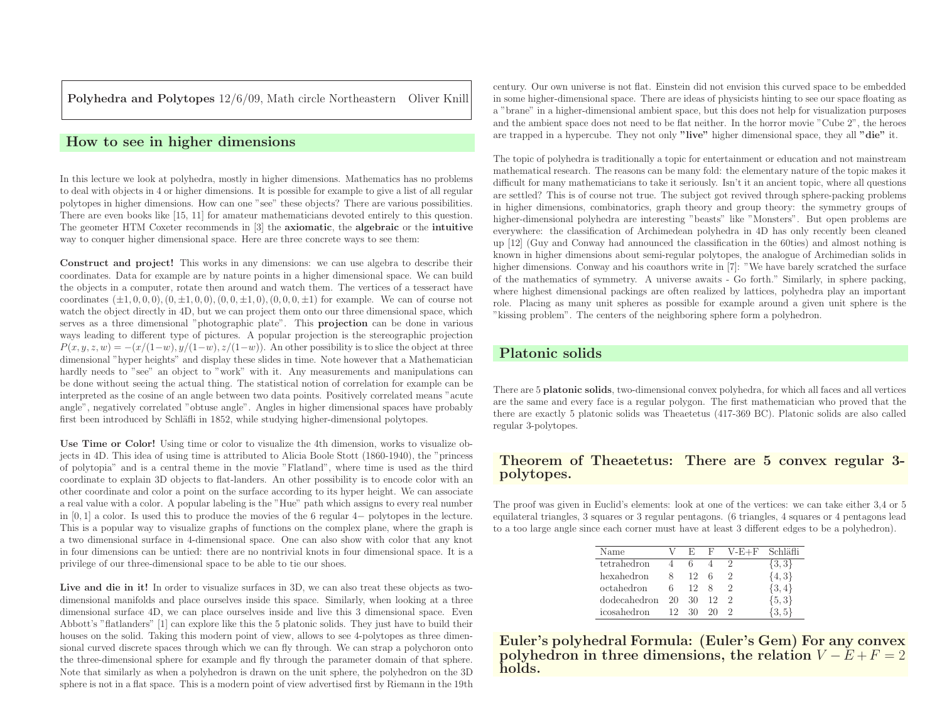Polyhedra and Polytopes 12/6/09, Math circle Northeastern Oliver Knill

# How to see in higher dimensions

In this lecture we look at polyhedra, mostly in higher dimensions. Mathematics has no problems to deal with objects in <sup>4</sup> or higher dimensions. It is possible for example to <sup>g</sup>ive <sup>a</sup> list of all regular polytopes in higher dimensions. How can one "see" these objects? There are various possibilities. There are even books like [15, 11] for amateur mathematicians devoted entirely to this question. The geometer HTM Coxeter recommends in [3] the axiomatic, the algebraic or the intuitiveway to conquer higher dimensional space. Here are three concrete ways to see them:

Construct and project! This works in any dimensions: we can use algebra to describe their coordinates. Data for example are by nature points in <sup>a</sup> higher dimensional space. We can build the objects in <sup>a</sup> computer, rotate then around and watch them. The vertices of <sup>a</sup> tesseract havecoordinates  $(\pm 1, 0, 0, 0), (0, \pm 1, 0, 0), (0, 0, \pm 1, 0), (0, 0, 0, \pm 1)$  for example. We can of course not watch the object directly in 4D, but we can project them onto our three dimensional space, which serves as <sup>a</sup> three dimensional "photographic <sup>p</sup>late". This projection can be done in various ways leading to different type of <sup>p</sup>ictures. <sup>A</sup> popular projection is the stereographic projection $P(x, y, z, w) = -(x/(1-w), y/(1-w), z/(1-w))$ . An other possibility is to slice the object at three dimensional "hyper heights" and display these slides in time. Note however that <sup>a</sup> Mathematician hardly needs to "see" an object to "work" with it. Any measurements and manipulations can be done without seeing the actual thing. The statistical notion of correlation for example can be interpreted as the cosine of an angle between two data points. Positively correlated means "acute angle", negatively correlated "obtuse angle". Angles in higher dimensional spaces have probablyfirst been introduced by Schläfli in 1852, while studying higher-dimensional polytopes.

Use Time or Color! Using time or color to visualize the 4th dimension, works to visualize objects in 4D. This idea of using time is attributed to Alicia Boole Stott (1860-1940), the "princess of polytopia" and is <sup>a</sup> central theme in the movie "Flatland", where time is used as the third coordinate to explain 3D objects to flat-landers. An other possibility is to encode color with an other coordinate and color <sup>a</sup> point on the surface according to its hyper height. We can associate <sup>a</sup> real value with <sup>a</sup> color. <sup>A</sup> popular labeling is the "Hue" path which assigns to every real number in  $[0, 1]$  a color. Is used this to produce the movies of the 6 regular 4− polytopes in the lecture. This is <sup>a</sup> popular way to visualize graphs of functions on the complex <sup>p</sup>lane, where the grap<sup>h</sup> is <sup>a</sup> two dimensional surface in 4-dimensional space. One can also show with color that any knot in four dimensions can be untied: there are no nontrivial knots in four dimensional space. It is <sup>a</sup>privilege of our three-dimensional space to be able to tie our shoes.

Live and die in it! In order to visualize surfaces in 3D, we can also treat these objects as twodimensional manifolds and <sup>p</sup>lace ourselves inside this space. Similarly, when looking at <sup>a</sup> three dimensional surface 4D, we can <sup>p</sup>lace ourselves inside and live this <sup>3</sup> dimensional space. Even Abbott's "flatlanders" [1] can explore like this the <sup>5</sup> <sup>p</sup>latonic solids. They just have to build their houses on the solid. Taking this modern point of view, allows to see 4-polytopes as three dimensional curved discrete spaces through which we can fly through. We can strap a polychoron onto the three-dimensional sphere for example and fly through the parameter domain of that sphere. Note that similarly as when <sup>a</sup> polyhedron is drawn on the unit sphere, the polyhedron on the 3Dsphere is not in <sup>a</sup> flat space. This is <sup>a</sup> modern point of view advertised first by Riemann in the 19th

century. Our own universe is not flat. Einstein did not envision this curved space to be embedded in some higher-dimensional space. There are ideas of <sup>p</sup>hysicists hinting to see our space floating as <sup>a</sup> "brane" in <sup>a</sup> higher-dimensional ambient space, but this does not help for visualization purposes and the ambient space does not need to be flat neither. In the horror movie "Cube 2", the heroesare trapped in a hypercube. They not only "live" higher dimensional space, they all "die" it.

The topic of polyhedra is traditionally <sup>a</sup> topic for entertainment or education and not mainstream mathematical research. The reasons can be many fold: the elementary nature of the topic makes it difficult for many mathematicians to take it seriously. Isn't it an ancient topic, where all questions are settled? This is of course not true. The subject got revived through sphere-packing problems in higher dimensions, combinatorics, grap<sup>h</sup> theory and group theory: the symmetry groups of higher-dimensional polyhedra are interesting "beasts" like "Monsters". But open problems are everywhere: the classification of Archimedean polyhedra in 4D has only recently been cleaned up [12] (Guy and Conway had announced the classification in the 60ties) and almost nothing is known in higher dimensions about semi-regular polytopes, the analogue of Archimedian solids in higher dimensions. Conway and his coauthors write in [7]: "We have barely scratched the surface of the mathematics of symmetry. <sup>A</sup> universe awaits - Go forth." Similarly, in sphere packing, where highest dimensional packings are often realized by lattices, polyhedra <sup>p</sup>lay an important role. Placing as many unit spheres as possible for example around <sup>a</sup> <sup>g</sup>iven unit sphere is the"kissing problem". The centers of the neighboring sphere form <sup>a</sup> polyhedron.

## Platonic solids

There are <sup>5</sup> <sup>p</sup>latonic solids, two-dimensional convex polyhedra, for which all faces and all vertices are the same and every face is <sup>a</sup> regular polygon. The first mathematician who proved that the there are exactly <sup>5</sup> <sup>p</sup>latonic solids was Theaetetus (417-369 BC). Platonic solids are also calledregular 3-polytopes.

## Theorem of Theaetetus: There are <sup>5</sup> convex regular 3 polytopes.

The proo<sup>f</sup> was <sup>g</sup>iven in Euclid's elements: look at one of the vertices: we can take either 3,4 or <sup>5</sup> equilateral triangles, <sup>3</sup> squares or <sup>3</sup> regular pentagons. (6 triangles, <sup>4</sup> squares or <sup>4</sup> pentagons leadto <sup>a</sup> too large angle since each corner must have at least <sup>3</sup> different edges to be <sup>a</sup> polyhedron).

| Name         |    | Е. | F  | $V-E+F$ | Schläfli   |
|--------------|----|----|----|---------|------------|
| tetrahedron  |    |    |    |         | $\{3,3\}$  |
| hexahedron   | 8  | 12 | 6  |         | ${4,3}$    |
| octahedron   | 6. | 12 | x  |         | $\{3,4\}$  |
| dodecahedron | 20 | 30 | 12 |         | ${5,3}$    |
| icosahedron  | 12 | 30 | 20 |         | $\{3, 5\}$ |

Euler's polyhedral Formula: (Euler's Gem) For any convexpolyhedron in three dimensions, the relation  $V-E+F=2$ holds.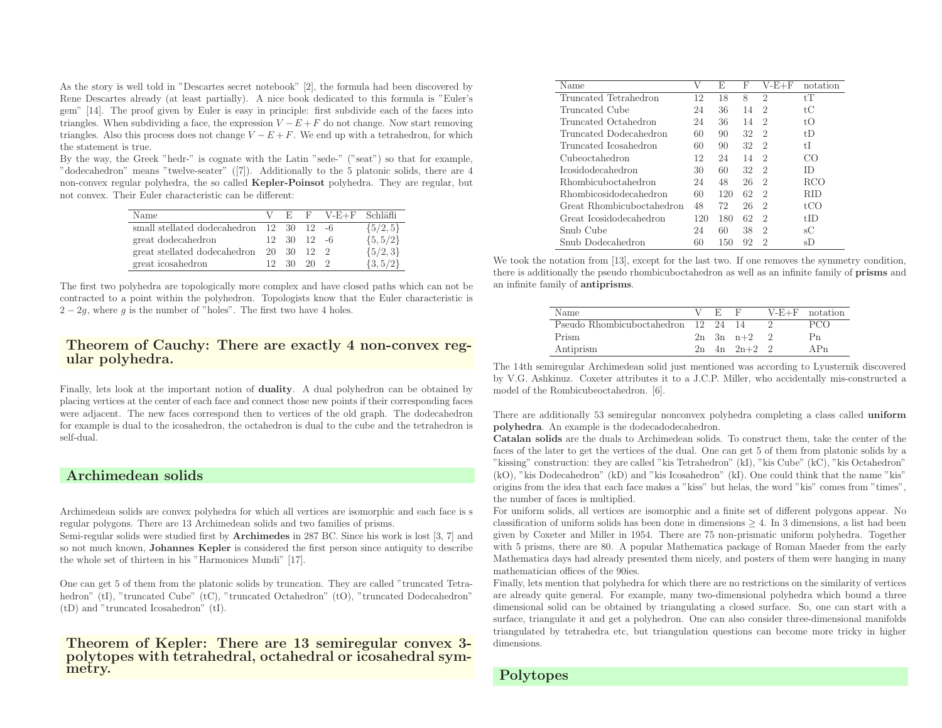As the story is well told in "Descartes secret notebook" [2], the formula had been discovered by Rene Descartes already (at least partially). <sup>A</sup> nice book dedicated to this formula is "Euler's gem" [14]. The proo<sup>f</sup> <sup>g</sup>iven by Euler is easy in principle: first subdivide each of the faces intotriangles. When subdividing a face, the expression  $V-E+F$  do not change. Now start removing triangles. Also this process does not change  $V-E+F$ . We end up with a tetrahedron, for which the statement is true.

By the way, the Greek "hedr-" is cognate with the Latin "sede-" ("seat") so that for example, "dodecahedron" means "twelve-seater" ([7]). Additionally to the <sup>5</sup> <sup>p</sup>latonic solids, there are <sup>4</sup>non-convex regular polyhedra, the so called **Kepler-Poinsot** polyhedra. They are regular, but not convex. Their Euler characteristic can be different:

| Name                                                         |          |                                 | V E F V-E+F Schläfli |              |
|--------------------------------------------------------------|----------|---------------------------------|----------------------|--------------|
| small stellated dodecahedron $12 \quad 30 \quad 12 \quad -6$ |          |                                 |                      | $\{5/2, 5\}$ |
| great dodecahedron                                           |          | $12 \quad 30 \quad 12 \quad -6$ |                      | $\{5, 5/2\}$ |
| great stellated dodecahedron                                 |          | 20 30 12 2                      |                      | ${5/2,3}$    |
| great icosahedron                                            | 12 30 20 |                                 |                      | $\{3, 5/2\}$ |

The first two polyhedra are topologically more complex and have closed paths which can not be contracted to <sup>a</sup> point within the polyhedron. Topologists know that the Euler characteristic is $2-2g$ , where g is the number of "holes". The first two have 4 holes.

#### Theorem of Cauchy: There are exactly <sup>4</sup> non-convex regular polyhedra.

Finally, lets look at the important notion of duality. <sup>A</sup> dual polyhedron can be obtained by <sup>p</sup>lacing vertices at the center of each face and connect those new points if their corresponding faces were adjacent. The new faces correspond then to vertices of the old graph. The dodecahedron for example is dual to the icosahedron, the octahedron is dual to the cube and the tetrahedron isself-dual.

#### Archimedean solids

Archimedean solids are convex polyhedra for which all vertices are isomorphic and each face is <sup>s</sup>regular polygons. There are <sup>13</sup> Archimedean solids and two families of prisms.

Semi-regular solids were studied first by Archimedes in <sup>287</sup> BC. Since his work is lost [3, 7] and so not much known, Johannes Kepler is considered the first person since antiquity to describe the whole set of thirteen in his "Harmonices Mundi" [17].

One can get <sup>5</sup> of them from the <sup>p</sup>latonic solids by truncation. They are called "truncated Tetrahedron" (tI), "truncated Cube" (tC), "truncated Octahedron" (tO), "truncated Dodecahedron"(tD) and "truncated Icosahedron" (tI).

Theorem of Kepler: There are <sup>13</sup> semiregular convex 3 polytopes with tetrahedral, octahedral or icosahedral sym- metry.

| Name                          | V   | E   | F  | $V$ -E $+$ F   | notation                                     |
|-------------------------------|-----|-----|----|----------------|----------------------------------------------|
| Truncated Tetrahedron         | 12  |     |    |                | tT                                           |
|                               |     | 18  | 8  | $\overline{2}$ |                                              |
| Truncated Cube                | 24  | 36  | 14 | $\mathfrak{D}$ | tС                                           |
| Truncated Octahedron          | 24  | 36  | 14 | $\mathfrak{D}$ | tΟ                                           |
| Truncated Dodecahedron        | 60  | 90  | 32 | $\mathfrak{D}$ | $t\overline{D}$                              |
| Truncated Icosahedron         | 60  | 90  | 32 | $\overline{2}$ | tI                                           |
| Cubeoctahedron                | 12  | 24  | 14 | $\mathfrak{D}$ | CO                                           |
| <i>Icosidodecahedron</i>      | 30  | 60  | 32 | $\mathfrak{D}$ | ID                                           |
| <b>Rhombicuboctahedron</b>    | 24  | 48  | 26 | $\mathfrak{D}$ | RCO                                          |
| <b>Rhombicosidodecahedron</b> | 60  | 120 | 62 | $\mathfrak{D}$ | RID                                          |
| Great Rhombicuboctahedron     | 48  | 72  | 26 | $\mathfrak{D}$ | $f($ $\chi$ <sup><math>\chi</math></sup> $)$ |
| Great Icosidodecahedron       | 120 | 180 | 62 | $\mathfrak{D}$ | tID                                          |
| Snub Cube                     | 24  | 60  | 38 | $\mathfrak{D}$ | sС                                           |
| Snub Dodecahedron             | 60  | 150 | 92 | 2              | sD                                           |

We took the notation from [13], except for the last two. If one removes the symmetry condition, there is additionally the pseudo rhombicuboctahedron as well as an infinite family of prisms andan infinite family of antiprisms.

| Name                                | E F |                         |         | $V-E+F$ notation |
|-------------------------------------|-----|-------------------------|---------|------------------|
| Pseudo Rhombicuboctahedron 12 24 14 |     |                         |         | PCO              |
| Prism                               |     | $2n \quad 3n \quad n+2$ | $\cdot$ | Р'n              |
| Antiprism                           |     | $2n + 4n + 2n + 2 + 2$  |         | APn              |

The 14th semiregular Archimedean solid just mentioned was according to Lyusternik discovered by V.G. Ashkinuz. Coxeter attributes it to <sup>a</sup> J.C.P. Miller, who accidentally mis-constructed <sup>a</sup>model of the Rombicubeoctahedron. [6].

There are additionally <sup>53</sup> semiregular nonconvex polyhedra completing <sup>a</sup> class called uniformpolyhedra. An example is the dodecadodecahedron.

Catalan solids are the duals to Archimedean solids. To construct them, take the center of the faces of the later to get the vertices of the dual. One can get <sup>5</sup> of them from <sup>p</sup>latonic solids by <sup>a</sup> "kissing" construction: they are called "kis Tetrahedron" (kI), "kis Cube" (kC), "kis Octahedron" (kO), "kis Dodecahedron" (kD) and "kis Icosahedron" (kI). One could think that the name "kis" origins from the idea that each face makes <sup>a</sup> "kiss" but helas, the word "kis" comes from "times", the number of faces is multiplied.

For uniform solids, all vertices are isomorphic and <sup>a</sup> finite set of different polygons appear. Noclassification of uniform solids has been done in dimensions  $\geq 4$ . In 3 dimensions, a list had been <sup>g</sup>iven by Coxeter and Miller in 1954. There are <sup>75</sup> non-prismatic uniform polyhedra. Together with <sup>5</sup> prisms, there are 80. <sup>A</sup> popular Mathematica package of Roman Maeder from the early Mathematica days had already presented them nicely, and posters of them were hanging in manymathematician offices of the 90ies.

Finally, lets mention that polyhedra for which there are no restrictions on the similarity of vertices are already quite general. For example, many two-dimensional polyhedra which bound <sup>a</sup> three dimensional solid can be obtained by triangulating <sup>a</sup> closed surface. So, one can start with <sup>a</sup> surface, triangulate it and get <sup>a</sup> polyhedron. One can also consider three-dimensional manifolds triangulated by tetrahedra etc, but triangulation questions can become more tricky in higherdimensions.

#### Polytopes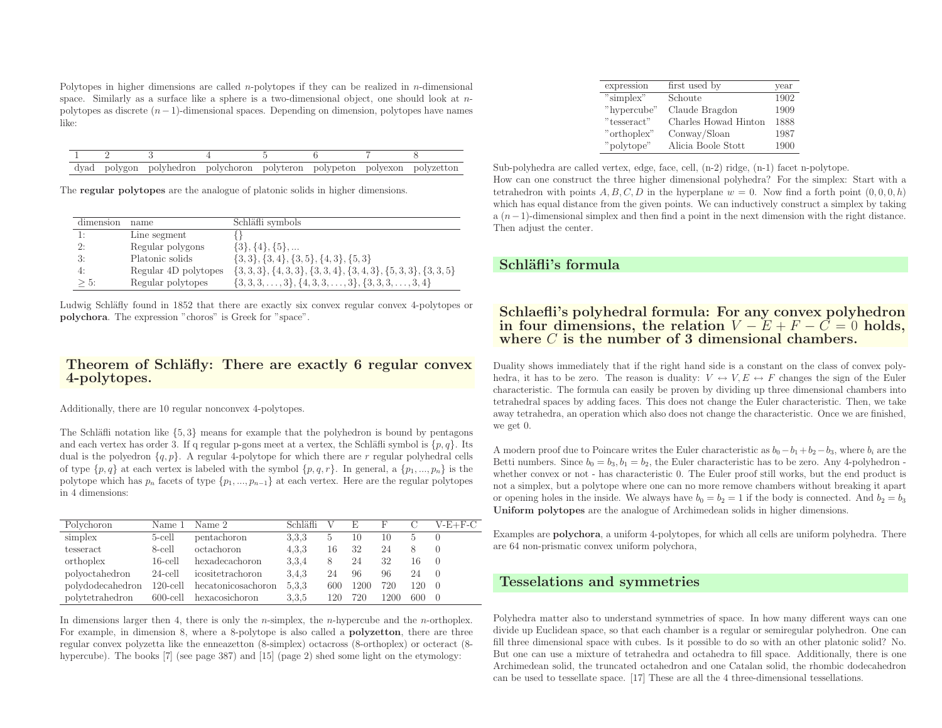Polytopes in higher dimensions are called *n*-polytopes if they can be realized in *n*-dimensional space. Similarly as a surface like a sphere is a two-dimensional object, one should look at  $n$ polytopes as discrete (<sup>n</sup>−1)-dimensional spaces. Depending on dimension, polytopes have names like:

|  | dyad polygon polyhedron polychoron polyteron polypeton polyexon polyzetton |  |  |  |
|--|----------------------------------------------------------------------------|--|--|--|

The regular polytopes are the analogue of <sup>p</sup>latonic solids in higher dimensions.

| dimension | name                 | Schläfli symbols                                                   |
|-----------|----------------------|--------------------------------------------------------------------|
| 1:        | Line segment         |                                                                    |
| 2:        | Regular polygons     | $\{3\}, \{4\}, \{5\}, \dots$                                       |
| 3:        | Platonic solids      | $\{3,3\}, \{3,4\}, \{3,5\}, \{4,3\}, \{5,3\}$                      |
|           | Regular 4D polytopes | $\{3,3,3\}, \{4,3,3\}, \{3,3,4\}, \{3,4,3\}, \{5,3,3\}, \{3,3,5\}$ |
| $> 5$ :   | Regular polytopes    | $\{3,3,3,\ldots,3\},\{4,3,3,\ldots,3\},\{3,3,3,\ldots,3,4\}$       |

Ludwig Schläfly found in 1852 that there are exactly six convex regular convex 4-polytopes or polychora. The expression "choros" is Greek for "space".

#### Theorem of Schläfly: There are exactly 6 regular convex 4-polytopes.

Additionally, there are <sup>10</sup> regular nonconvex 4-polytopes.

The Schläfli notation like  $\{5, 3\}$  means for example that the polyhedron is bound by pentagons and each vertex has order 3. If q regular p-gons meet at a vertex, the Schläfli symbol is  $\{p, q\}$ . Its dual is the polyedron  $\{q, p\}$ . A regular 4-polytope for which there are r regular polyhedral cells of type  $\{p, q\}$  at each vertex is labeled with the symbol  $\{p, q, r\}$ . In general, a  $\{p_1, ..., p_n\}$  is the polytope which has  $p_n$  facets of type  $\{p_1, ..., p_{n-1}\}$  at each vertex. Here are the regular polytopes in <sup>4</sup> dimensions:

| Polychoron       | Name 1      | Name 2                  | Schläfli |            |      |      |     | $V-E+F-C$      |
|------------------|-------------|-------------------------|----------|------------|------|------|-----|----------------|
| simplex          | 5-cell      | pentachoron             | 3.3.3    | $\ddot{o}$ | 10   | 10   |     |                |
| tesseract        | 8-cell      | octachoron              | 4.3.3    | 16         | 32   | 24   |     |                |
| orthoplex        | $16$ -cell  | hexadecachoron          | 3,3,4    | 8          | 24   | 32   | 16  |                |
| polyoctahedron   | $24$ -cell  | icositetrachoron        | 3.4.3    | 24         | 96   | 96   | 24  |                |
| polydodecahedron | $120$ -cell | hecatonicosachoron      | 5,3,3    | 600        | 1200 | 720  | 120 | $\overline{0}$ |
| polytetrahedron  |             | 600-cell hexacosichoron | 3.3.5    | 120        | 720  | 1200 | 600 | $\bigcirc$     |

In dimensions larger then 4, there is only the *n*-simplex, the *n*-hypercube and the *n*-orthoplex. For example, in dimension 8, where <sup>a</sup> 8-polytope is also called <sup>a</sup> polyzetton, there are three regular convex polyzetta like the enneazetton (8-simplex) octacross (8-orthoplex) or octeract (8 hypercube). The books [7] (see page 387) and [15] (page 2) shed some light on the etymology:

| expression  | first used by        | year |
|-------------|----------------------|------|
| "simplex"   | Schoute              | 1902 |
| "hypercube" | Claude Bragdon       | 1909 |
| "tesseract" | Charles Howad Hinton | 1888 |
| "orthoplex" | Conway/Sloan         | 1987 |
| "polytope"  | Alicia Boole Stott   | 1900 |

Sub-polyhedra are called vertex, edge, face, cell, (n-2) ridge, (n-1) facet n-polytope. How can one construct the three higher dimensional polyhedra? For the simplex: Start with <sup>a</sup>tetrahedron with points  $A, B, C, D$  in the hyperplane  $w = 0$ . Now find a forth point  $(0, 0, 0, h)$ which has equal distance from the given points. We can inductively construct a simplex by taking  $a(n-1)$ -dimensional simplex and then find a point in the next dimension with the right distance. Then adjust the center.

#### Schläfli's formula

# Schlaefli's polyhedral formula: For any convex polyhedronin four dimensions, the relation  $V-E+F-C=0$  holds,<br>where C is the number of 3 dimensional chambers where  $C$  is the number of 3 dimensional chambers.

Duality shows immediately that if the right hand side is <sup>a</sup> constant on the class of convex polyhedra, it has to be zero. The reason is duality:  $V \leftrightarrow V, E \leftrightarrow F$  changes the sign of the Euler<br>characteristic. The formula can easily be proven by dividing up three dimensional chambers into characteristic. The formula can easily be proven by dividing up three dimensional chambers into tetrahedral spaces by adding faces. This does not change the Euler characteristic. Then, we take away tetrahedra, an operation which also does not change the characteristic. Once we are finished, we get 0.

A modern proof due to Poincare writes the Euler characteristic as  $b_0 - b_1 + b_2 - b_3$ , where  $b_i$  are the Betti numbers. Since  $b_0 = b_3, b_1 = b_2$ , the Euler characteristic has to be zero. Any 4-polyhedron whether convex or not - has characteristic 0. The Euler proof still works, but the end product is not <sup>a</sup> simplex, but <sup>a</sup> polytope where one can no more remove chambers without breaking it apartor opening holes in the inside. We always have  $b_0 = b_2 = 1$  if the body is connected. And  $b_2 = b_3$ Uniform polytopes are the analogue of Archimedean solids in higher dimensions.

Examples are polychora, <sup>a</sup> uniform 4-polytopes, for which all cells are uniform polyhedra. There are <sup>64</sup> non-prismatic convex uniform polychora,

## Tesselations and symmetries

Polyhedra matter also to understand symmetries of space. In how many different ways can one divide up Euclidean space, so that each chamber is <sup>a</sup> regular or semiregular polyhedron. One can fill three dimensional space with cubes. Is it possible to do so with an other <sup>p</sup>latonic solid? No. But one can use <sup>a</sup> mixture of tetrahedra and octahedra to fill space. Additionally, there is one Archimedean solid, the truncated octahedron and one Catalan solid, the rhombic dodecahedroncan be used to tessellate space. [17] These are all the <sup>4</sup> three-dimensional tessellations.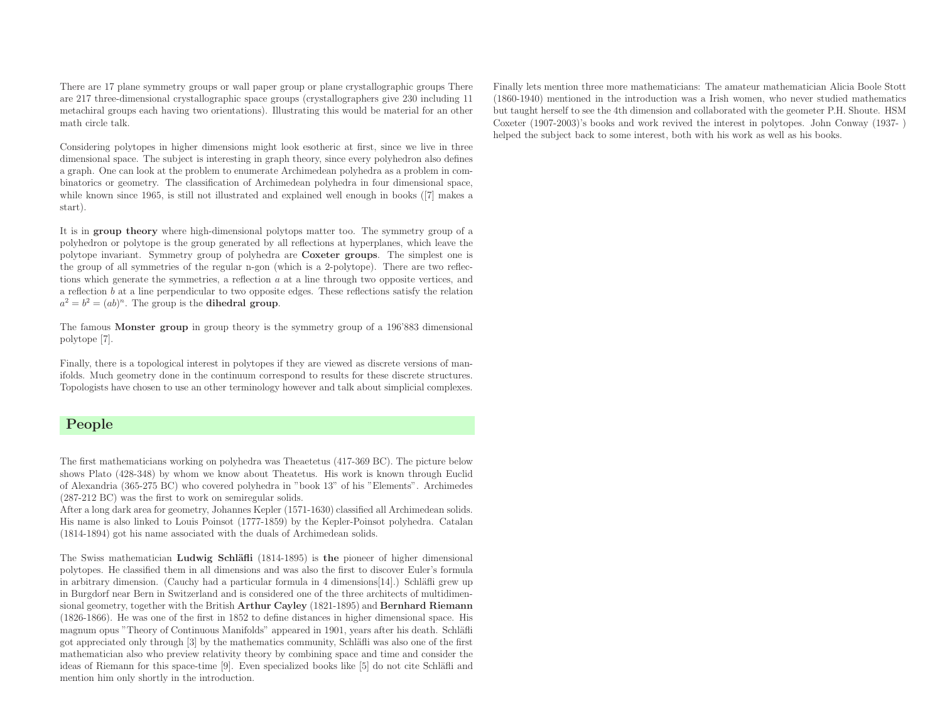There are <sup>17</sup> <sup>p</sup>lane symmetry groups or wall paper group or <sup>p</sup>lane crystallographic groups There are <sup>217</sup> three-dimensional crystallographic space groups (crystallographers <sup>g</sup>ive <sup>230</sup> including <sup>11</sup> metachiral groups each having two orientations). Illustrating this would be material for an othermath circle talk.

Considering polytopes in higher dimensions might look esotheric at first, since we live in three dimensional space. The subject is interesting in grap<sup>h</sup> theory, since every polyhedron also defines <sup>a</sup> graph. One can look at the problem to enumerate Archimedean polyhedra as <sup>a</sup> problem in combinatorics or geometry. The classification of Archimedean polyhedra in four dimensional space, while known since 1965, is still not illustrated and explained well enoug<sup>h</sup> in books ([7] makes <sup>a</sup>start).

It is in group theory where high-dimensional polytops matter too. The symmetry group of <sup>a</sup> polyhedron or polytope is the group generated by all reflections at hyperplanes, which leave the polytope invariant. Symmetry group of polyhedra are Coxeter groups. The simplest one is the group of all symmetries of the regular n-gon (which is <sup>a</sup> 2-polytope). There are two reflections which generate the symmetries, <sup>a</sup> reflection <sup>a</sup> at <sup>a</sup> line through two opposite vertices, and <sup>a</sup> reflection <sup>b</sup> at <sup>a</sup> line perpendicular to two opposite edges. These reflections satisfy the relation  $a^2 = b^2 = (ab)^n$ . The group is the **dihedral group**.

The famous Monster group in group theory is the symmetry group of <sup>a</sup> 196'883 dimensional polytope [7].

Finally, there is <sup>a</sup> topological interest in polytopes if they are viewed as discrete versions of manifolds. Much geometry done in the continuum correspond to results for these discrete structures. Topologists have chosen to use an other terminology however and talk about simplicial complexes.

## People

The first mathematicians working on polyhedra was Theaetetus (417-369 BC). The <sup>p</sup>icture below shows Plato (428-348) by whom we know about Theatetus. His work is known through Euclid of Alexandria (365-275 BC) who covered polyhedra in "book 13" of his "Elements". Archimedes(287-212 BC) was the first to work on semiregular solids.

After <sup>a</sup> long dark area for geometry, Johannes Kepler (1571-1630) classified all Archimedean solids. His name is also linked to Louis Poinsot (1777-1859) by the Kepler-Poinsot polyhedra. Catalan(1814-1894) got his name associated with the duals of Archimedean solids.

The Swiss mathematician Ludwig Schläfli (1814-1895) is the pioneer of higher dimensional polytopes. He classified them in all dimensions and was also the first to discover Euler's formulain arbitrary dimension. (Cauchy had a particular formula in  $4$  dimensions $[14]$ .) Schläfli grew up in Burgdorf near Bern in Switzerland and is considered one of the three architects of multidimensional geometry, together with the British Arthur Cayley (1821-1895) and Bernhard Riemann (1826-1866). He was one of the first in <sup>1852</sup> to define distances in higher dimensional space. His magnum opus "Theory of Continuous Manifolds" appeared in 1901, years after his death. Schläfli got appreciated only through [3] by the mathematics community, Schläfli was also one of the first mathematician also who preview relativity theory by combining space and time and consider theideas of Riemann for this space-time [9]. Even specialized books like [5] do not cite Schläfli and mention him only shortly in the introduction.

Finally lets mention three more mathematicians: The amateur mathematician Alicia Boole Stott (1860-1940) mentioned in the introduction was <sup>a</sup> Irish women, who never studied mathematics but taught herself to see the 4th dimension and collaborated with the geometer P.H. Shoute. HSM Coxeter (1907-2003)'s books and work revived the interest in polytopes. John Conway (1937- )helped the subject back to some interest, both with his work as well as his books.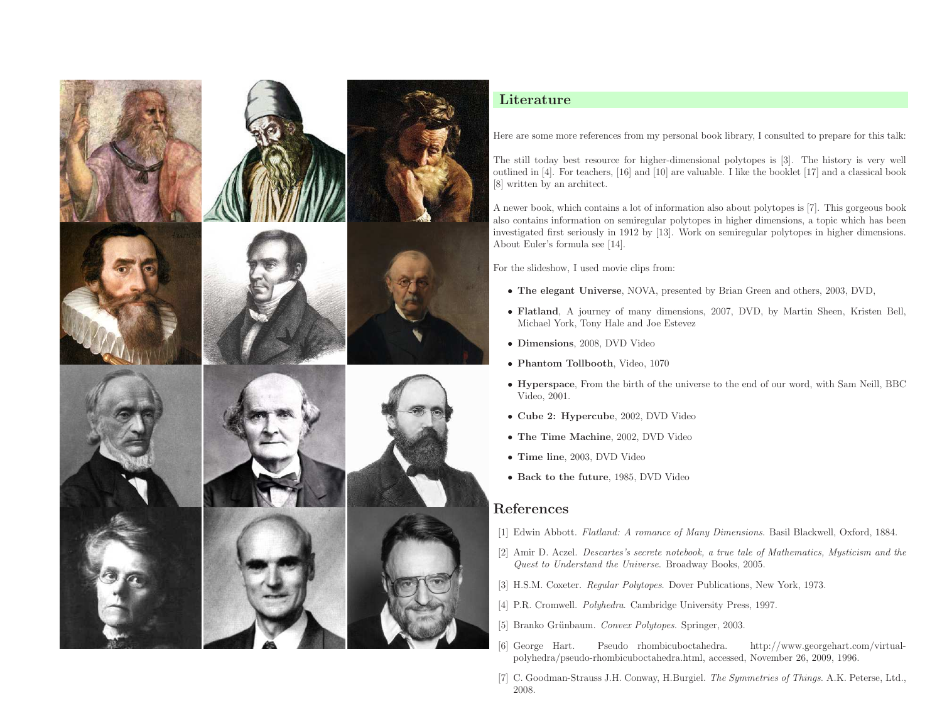

## Literature

Here are some more references from my persona<sup>l</sup> book library, <sup>I</sup> consulted to prepare for this talk:

The still today best resource for higher-dimensional polytopes is [3]. The history is very well outlined in [4]. For teachers, [16] and [10] are valuable. <sup>I</sup> like the booklet [17] and <sup>a</sup> classical book[8] written by an architect.

<sup>A</sup> newer book, which contains <sup>a</sup> lot of information also about polytopes is [7]. This gorgeous book also contains information on semiregular polytopes in higher dimensions, <sup>a</sup> topic which has been investigated first seriously in <sup>1912</sup> by [13]. Work on semiregular polytopes in higher dimensions. About Euler's formula see [14].

For the slideshow, <sup>I</sup> used movie clips from:

- The elegant Universe, NOVA, presented by Brian Green and others, 2003, DVD,
- Flatland, <sup>A</sup> journey of many dimensions, 2007, DVD, by Martin Sheen, Kristen Bell, Michael York, Tony Hale and Joe Estevez
- Dimensions, 2008, DVD Video
- Phantom Tollbooth, Video, <sup>1070</sup>
- Hyperspace, From the birth of the universe to the end of our word, with Sam Neill, BBC  $V_{\text{G1}} = 2001$ Video, 2001.
- Cube 2: Hypercube, 2002, DVD Video
- The Time Machine, 2002, DVD Video
- Time line, 2003, DVD Video
- Back to the future, 1985, DVD Video

## References

- [1] Edwin Abbott. Flatland: <sup>A</sup> romance of Many Dimensions. Basil Blackwell, Oxford, 1884.
- [2] Amir D. Aczel. Descartes's secrete notebook, <sup>a</sup> true tale of Mathematics, Mysticism and theQuest to Understand the Universe. Broadway Books, 2005.
- [3] H.S.M. Coxeter. Regular Polytopes. Dover Publications, New York, 1973.
- [4] P.R. Cromwell. Polyhedra. Cambridge University Press, 1997.
- [5] Branko Grünbaum. Convex Polytopes. Springer, 2003.
- [6] George Hart. Pseudo rhombicuboctahedra. http://www.georgehart.com/virtualpolyhedra/pseudo-rhombicuboctahedra.html, accessed, November 26, 2009, 1996.
- [7] C. Goodman-Strauss J.H. Conway, H.Burgiel. The Symmetries of Things. A.K. Peterse, Ltd., 2008.